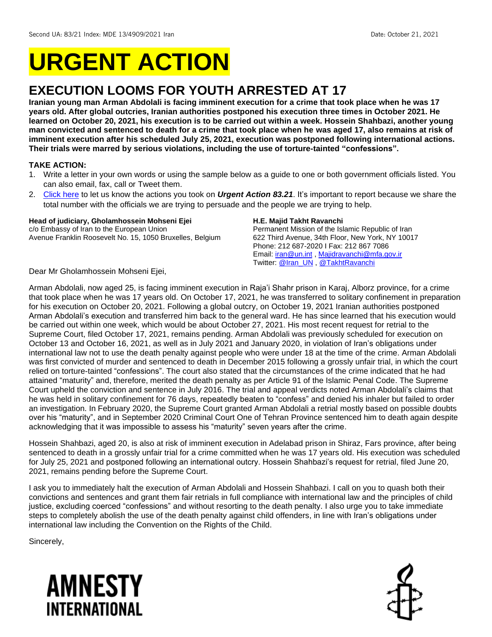# **URGENT ACTION**

## **EXECUTION LOOMS FOR YOUTH ARRESTED AT 17**

**Iranian young man Arman Abdolali is facing imminent execution for a crime that took place when he was 17 years old. After global outcries, Iranian authorities postponed his execution three times in October 2021. He learned on October 20, 2021, his execution is to be carried out within a week. Hossein Shahbazi, another young man convicted and sentenced to death for a crime that took place when he was aged 17, also remains at risk of imminent execution after his scheduled July 25, 2021, execution was postponed following international actions. Their trials were marred by serious violations, including the use of torture-tainted "confessions".**

#### **TAKE ACTION:**

- 1. Write a letter in your own words or using the sample below as a guide to one or both government officials listed. You can also email, fax, call or Tweet them.
- 2. [Click here](https://www.amnestyusa.org/report-urgent-actions/) to let us know the actions you took on *Urgent Action 83.21*. It's important to report because we share the total number with the officials we are trying to persuade and the people we are trying to help.

#### **Head of judiciary, Gholamhossein Mohseni Ejei**

c/o Embassy of Iran to the European Union Avenue Franklin Roosevelt No. 15, 1050 Bruxelles, Belgium

#### **H.E. Majid Takht Ravanchi**

Permanent Mission of the Islamic Republic of Iran 622 Third Avenue, 34th Floor, New York, NY 10017 Phone: 212 687-2020 I Fax: 212 867 7086 Email[: iran@un.int](mailto:iran@un.int) , [Majidravanchi@mfa.gov.ir](mailto:Majidravanchi@mfa.gov.ir) Twitter: [@Iran\\_UN](https://twitter.com/iran_un) , [@TakhtRavanchi](https://twitter.com/TakhtRavanchi)

Dear Mr Gholamhossein Mohseni Ejei,

Arman Abdolali, now aged 25, is facing imminent execution in Raja'i Shahr prison in Karaj, Alborz province, for a crime that took place when he was 17 years old. On October 17, 2021, he was transferred to solitary confinement in preparation for his execution on October 20, 2021. Following a global outcry, on October 19, 2021 Iranian authorities postponed Arman Abdolali's execution and transferred him back to the general ward. He has since learned that his execution would be carried out within one week, which would be about October 27, 2021. His most recent request for retrial to the Supreme Court, filed October 17, 2021, remains pending. Arman Abdolali was previously scheduled for execution on October 13 and October 16, 2021, as well as in July 2021 and January 2020, in violation of Iran's obligations under international law not to use the death penalty against people who were under 18 at the time of the crime. Arman Abdolali was first convicted of murder and sentenced to death in December 2015 following a grossly unfair trial, in which the court relied on torture-tainted "confessions". The court also stated that the circumstances of the crime indicated that he had attained "maturity" and, therefore, merited the death penalty as per Article 91 of the Islamic Penal Code. The Supreme Court upheld the conviction and sentence in July 2016. The trial and appeal verdicts noted Arman Abdolali's claims that he was held in solitary confinement for 76 days, repeatedly beaten to "confess" and denied his inhaler but failed to order an investigation. In February 2020, the Supreme Court granted Arman Abdolali a retrial mostly based on possible doubts over his "maturity", and in September 2020 Criminal Court One of Tehran Province sentenced him to death again despite acknowledging that it was impossible to assess his "maturity" seven years after the crime.

Hossein Shahbazi, aged 20, is also at risk of imminent execution in Adelabad prison in Shiraz, Fars province, after being sentenced to death in a grossly unfair trial for a crime committed when he was 17 years old. His execution was scheduled for July 25, 2021 and postponed following an international outcry. Hossein Shahbazi's request for retrial, filed June 20, 2021, remains pending before the Supreme Court.

I ask you to immediately halt the execution of Arman Abdolali and Hossein Shahbazi. I call on you to quash both their convictions and sentences and grant them fair retrials in full compliance with international law and the principles of child justice, excluding coerced "confessions" and without resorting to the death penalty. I also urge you to take immediate steps to completely abolish the use of the death penalty against child offenders, in line with Iran's obligations under international law including the Convention on the Rights of the Child.

Sincerely,